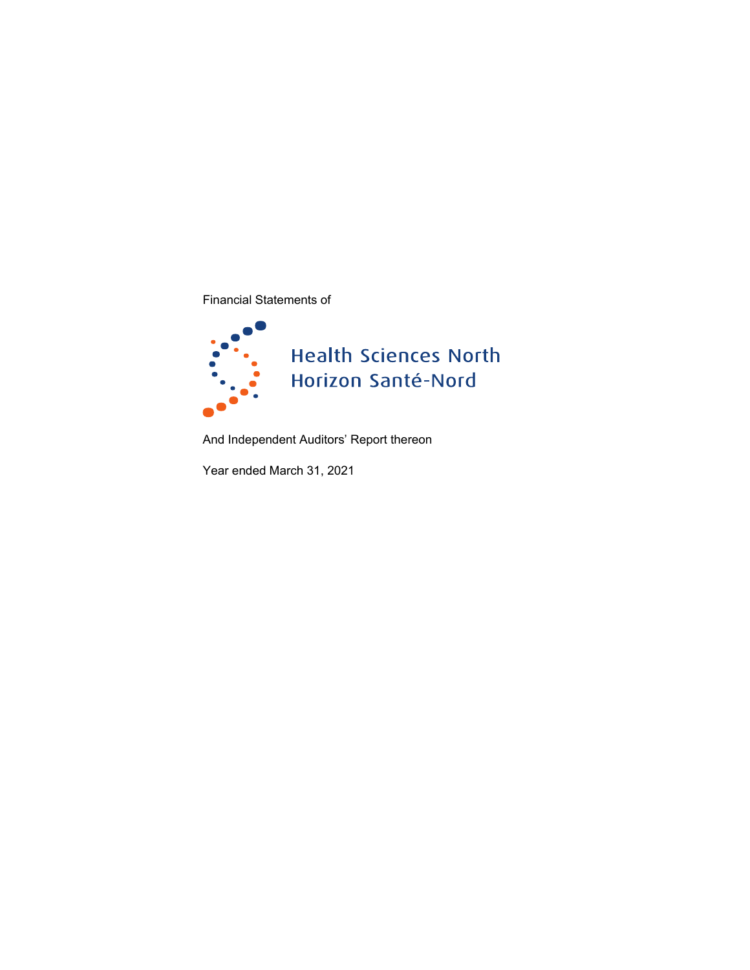Financial Statements of



And Independent Auditors' Report thereon

Year ended March 31, 2021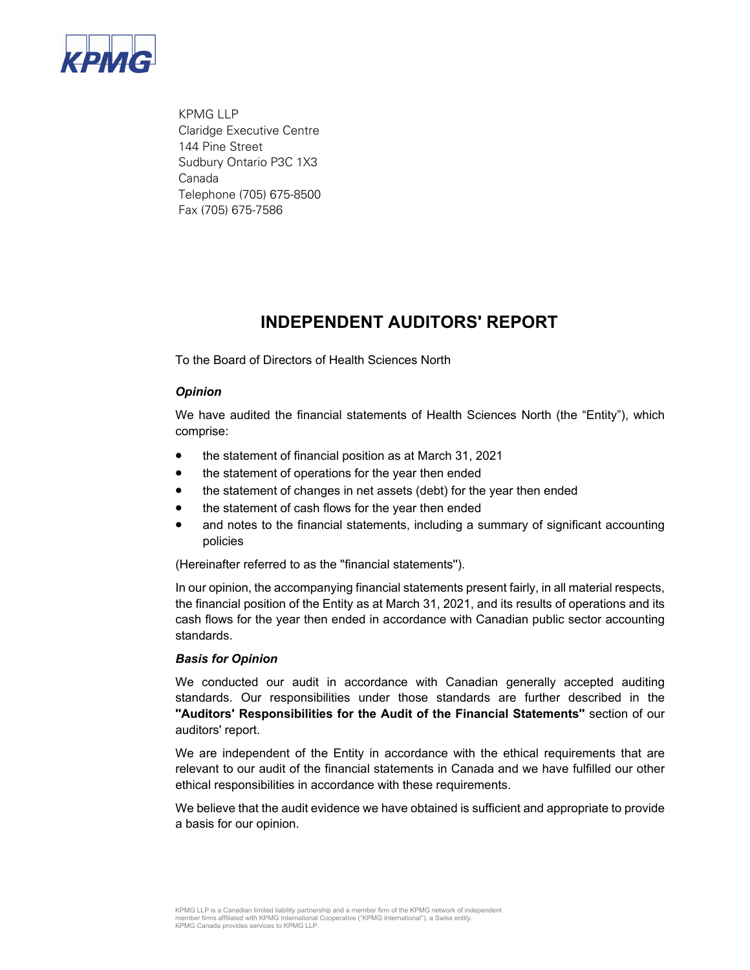

KPMG LLP Claridge Executive Centre 144 Pine Street Sudbury Ontario P3C 1X3 Canada Telephone (705) 675-8500 Fax (705) 675-7586

### **INDEPENDENT AUDITORS' REPORT**

To the Board of Directors of Health Sciences North

### *Opinion*

We have audited the financial statements of Health Sciences North (the "Entity"), which comprise:

- the statement of financial position as at March 31, 2021
- the statement of operations for the year then ended
- the statement of changes in net assets (debt) for the year then ended
- the statement of cash flows for the year then ended
- and notes to the financial statements, including a summary of significant accounting policies

(Hereinafter referred to as the ''financial statements'').

In our opinion, the accompanying financial statements present fairly, in all material respects, the financial position of the Entity as at March 31, 2021, and its results of operations and its cash flows for the year then ended in accordance with Canadian public sector accounting standards.

#### *Basis for Opinion*

We conducted our audit in accordance with Canadian generally accepted auditing standards. Our responsibilities under those standards are further described in the **''Auditors' Responsibilities for the Audit of the Financial Statements''** section of our auditors' report.

We are independent of the Entity in accordance with the ethical requirements that are relevant to our audit of the financial statements in Canada and we have fulfilled our other ethical responsibilities in accordance with these requirements.

We believe that the audit evidence we have obtained is sufficient and appropriate to provide a basis for our opinion.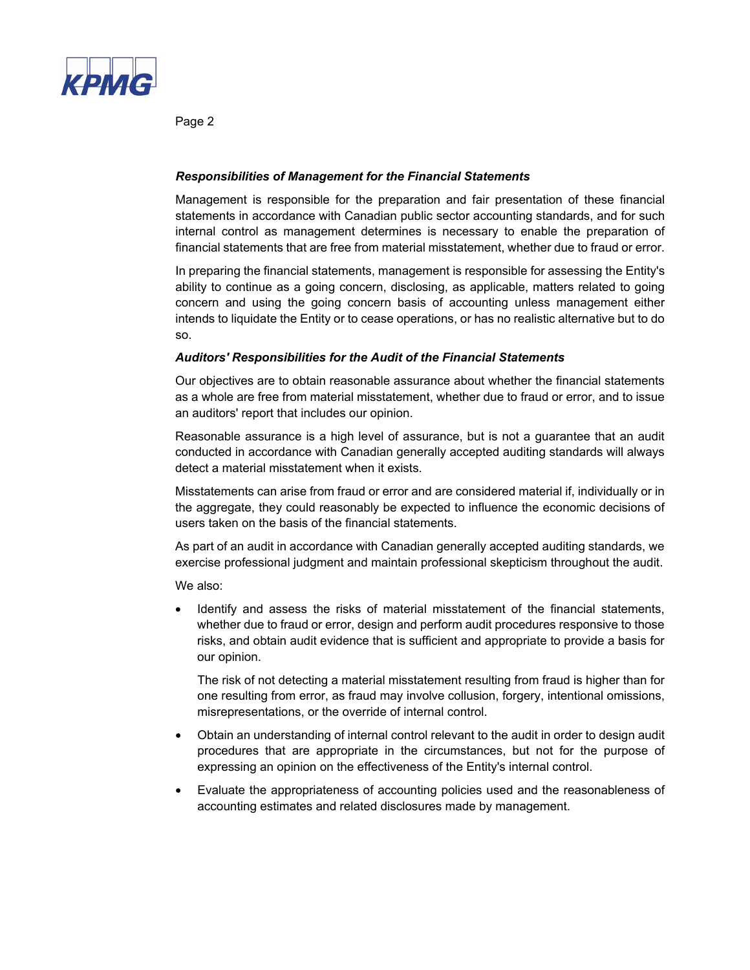

Page 2

#### *Responsibilities of Management for the Financial Statements*

Management is responsible for the preparation and fair presentation of these financial statements in accordance with Canadian public sector accounting standards, and for such internal control as management determines is necessary to enable the preparation of financial statements that are free from material misstatement, whether due to fraud or error.

In preparing the financial statements, management is responsible for assessing the Entity's ability to continue as a going concern, disclosing, as applicable, matters related to going concern and using the going concern basis of accounting unless management either intends to liquidate the Entity or to cease operations, or has no realistic alternative but to do so.

### *Auditors' Responsibilities for the Audit of the Financial Statements*

Our objectives are to obtain reasonable assurance about whether the financial statements as a whole are free from material misstatement, whether due to fraud or error, and to issue an auditors' report that includes our opinion.

Reasonable assurance is a high level of assurance, but is not a guarantee that an audit conducted in accordance with Canadian generally accepted auditing standards will always detect a material misstatement when it exists.

Misstatements can arise from fraud or error and are considered material if, individually or in the aggregate, they could reasonably be expected to influence the economic decisions of users taken on the basis of the financial statements.

As part of an audit in accordance with Canadian generally accepted auditing standards, we exercise professional judgment and maintain professional skepticism throughout the audit.

We also:

• Identify and assess the risks of material misstatement of the financial statements, whether due to fraud or error, design and perform audit procedures responsive to those risks, and obtain audit evidence that is sufficient and appropriate to provide a basis for our opinion.

The risk of not detecting a material misstatement resulting from fraud is higher than for one resulting from error, as fraud may involve collusion, forgery, intentional omissions, misrepresentations, or the override of internal control.

- Obtain an understanding of internal control relevant to the audit in order to design audit procedures that are appropriate in the circumstances, but not for the purpose of expressing an opinion on the effectiveness of the Entity's internal control.
- Evaluate the appropriateness of accounting policies used and the reasonableness of accounting estimates and related disclosures made by management.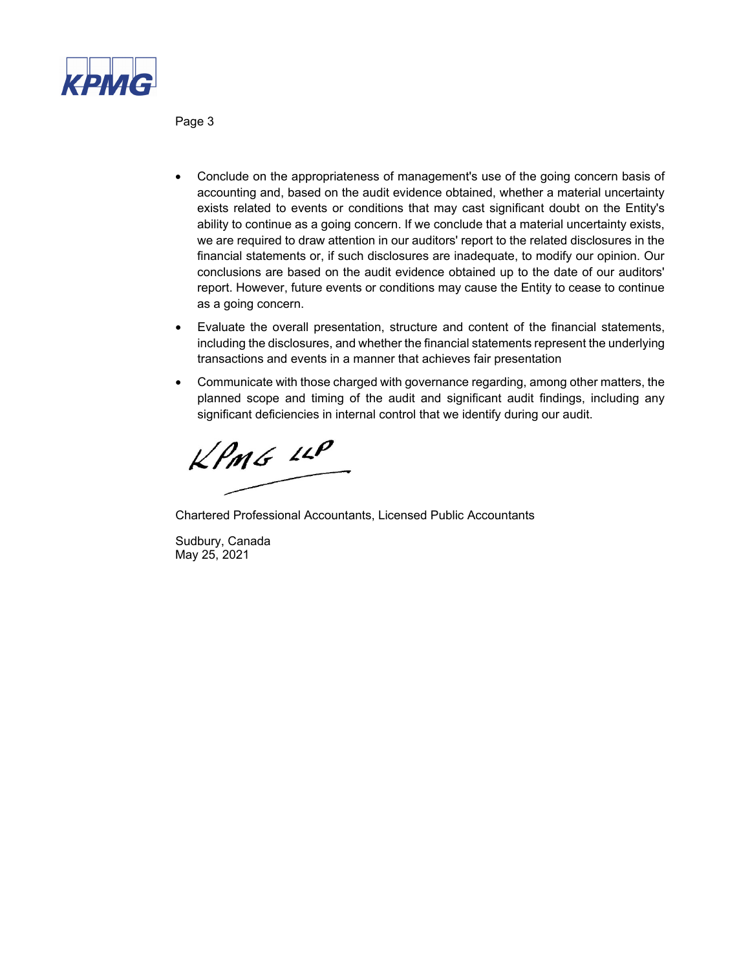

Page 3

- Conclude on the appropriateness of management's use of the going concern basis of accounting and, based on the audit evidence obtained, whether a material uncertainty exists related to events or conditions that may cast significant doubt on the Entity's ability to continue as a going concern. If we conclude that a material uncertainty exists, we are required to draw attention in our auditors' report to the related disclosures in the financial statements or, if such disclosures are inadequate, to modify our opinion. Our conclusions are based on the audit evidence obtained up to the date of our auditors' report. However, future events or conditions may cause the Entity to cease to continue as a going concern.
- Evaluate the overall presentation, structure and content of the financial statements, including the disclosures, and whether the financial statements represent the underlying transactions and events in a manner that achieves fair presentation
- Communicate with those charged with governance regarding, among other matters, the planned scope and timing of the audit and significant audit findings, including any significant deficiencies in internal control that we identify during our audit.

 $KPMG$  14P

Chartered Professional Accountants, Licensed Public Accountants

Sudbury, Canada May 25, 2021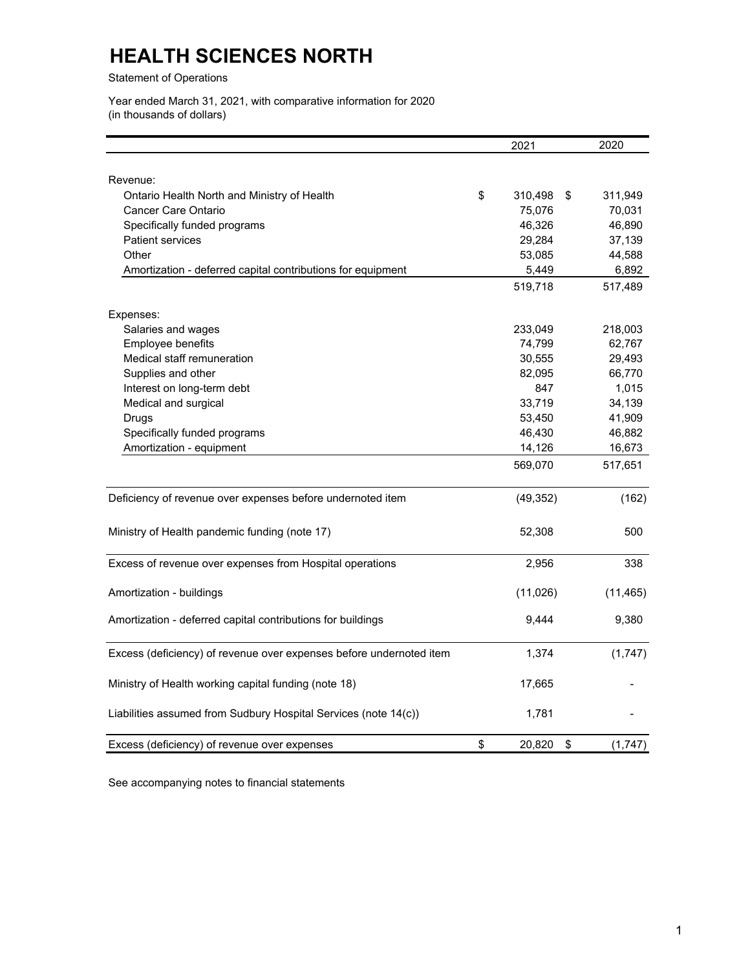### Statement of Operations

Year ended March 31, 2021, with comparative information for 2020 (in thousands of dollars)

|                                                                     | 2021          | 2020          |
|---------------------------------------------------------------------|---------------|---------------|
|                                                                     |               |               |
| Revenue:                                                            |               |               |
| Ontario Health North and Ministry of Health                         | \$<br>310,498 | \$<br>311,949 |
| Cancer Care Ontario                                                 | 75,076        | 70,031        |
| Specifically funded programs                                        | 46,326        | 46,890        |
| <b>Patient services</b>                                             | 29,284        | 37,139        |
| Other                                                               | 53,085        | 44,588        |
| Amortization - deferred capital contributions for equipment         | 5,449         | 6,892         |
|                                                                     | 519,718       | 517,489       |
| Expenses:                                                           |               |               |
| Salaries and wages                                                  | 233,049       | 218,003       |
| Employee benefits                                                   | 74,799        | 62,767        |
| Medical staff remuneration                                          | 30,555        | 29,493        |
| Supplies and other                                                  | 82,095        | 66,770        |
| Interest on long-term debt                                          | 847           | 1,015         |
| Medical and surgical                                                | 33,719        | 34,139        |
| <b>Drugs</b>                                                        | 53,450        | 41,909        |
| Specifically funded programs                                        | 46,430        | 46,882        |
| Amortization - equipment                                            | 14,126        | 16,673        |
|                                                                     | 569,070       | 517,651       |
| Deficiency of revenue over expenses before undernoted item          | (49, 352)     | (162)         |
| Ministry of Health pandemic funding (note 17)                       | 52,308        | 500           |
| Excess of revenue over expenses from Hospital operations            | 2,956         | 338           |
| Amortization - buildings                                            | (11,026)      | (11, 465)     |
| Amortization - deferred capital contributions for buildings         | 9,444         | 9,380         |
| Excess (deficiency) of revenue over expenses before undernoted item | 1,374         | (1,747)       |
| Ministry of Health working capital funding (note 18)                | 17,665        |               |
| Liabilities assumed from Sudbury Hospital Services (note 14(c))     | 1,781         |               |
| Excess (deficiency) of revenue over expenses                        | \$<br>20,820  | \$<br>(1,747) |
|                                                                     |               |               |

See accompanying notes to financial statements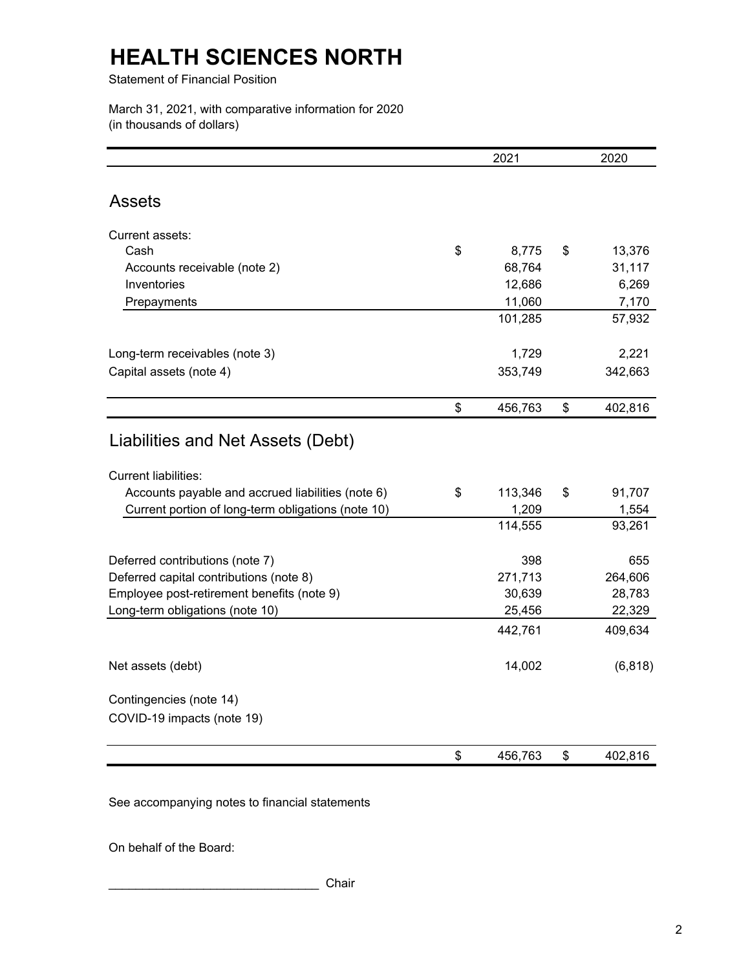Statement of Financial Position

March 31, 2021, with comparative information for 2020 (in thousands of dollars)

|                                                    | 2021          | 2020          |  |  |
|----------------------------------------------------|---------------|---------------|--|--|
|                                                    |               |               |  |  |
| <b>Assets</b>                                      |               |               |  |  |
| Current assets:                                    |               |               |  |  |
| Cash                                               | \$<br>8,775   | \$<br>13,376  |  |  |
| Accounts receivable (note 2)                       | 68,764        | 31,117        |  |  |
| Inventories                                        | 12,686        | 6,269         |  |  |
| Prepayments                                        | 11,060        | 7,170         |  |  |
|                                                    | 101,285       | 57,932        |  |  |
| Long-term receivables (note 3)                     | 1,729         | 2,221         |  |  |
| Capital assets (note 4)                            | 353,749       | 342,663       |  |  |
|                                                    | \$<br>456,763 | \$<br>402,816 |  |  |
|                                                    |               |               |  |  |
| Liabilities and Net Assets (Debt)                  |               |               |  |  |
| <b>Current liabilities:</b>                        |               |               |  |  |
| Accounts payable and accrued liabilities (note 6)  | \$<br>113,346 | \$<br>91,707  |  |  |
| Current portion of long-term obligations (note 10) | 1,209         | 1,554         |  |  |
|                                                    | 114,555       | 93,261        |  |  |
| Deferred contributions (note 7)                    | 398           | 655           |  |  |
| Deferred capital contributions (note 8)            | 271,713       | 264,606       |  |  |
| Employee post-retirement benefits (note 9)         | 30,639        | 28,783        |  |  |
| Long-term obligations (note 10)                    | 25,456        | 22,329        |  |  |
|                                                    | 442,761       | 409,634       |  |  |
| Net assets (debt)                                  | 14,002        | (6, 818)      |  |  |
| Contingencies (note 14)                            |               |               |  |  |
| COVID-19 impacts (note 19)                         |               |               |  |  |
|                                                    |               |               |  |  |
|                                                    | \$<br>456,763 | \$<br>402,816 |  |  |

See accompanying notes to financial statements

On behalf of the Board:

\_\_\_\_\_\_\_\_\_\_\_\_\_\_\_\_\_\_\_\_\_\_\_\_\_\_\_\_\_\_\_ Chair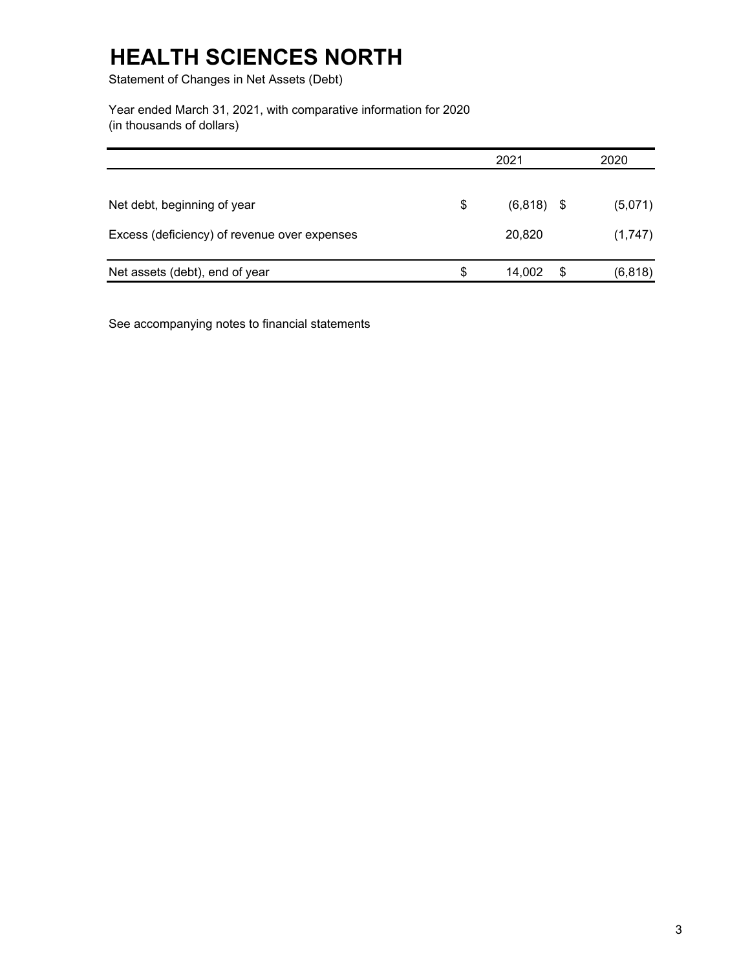Statement of Changes in Net Assets (Debt)

Year ended March 31, 2021, with comparative information for 2020 (in thousands of dollars)

|                                              | 2021               | 2020     |  |  |
|----------------------------------------------|--------------------|----------|--|--|
| Net debt, beginning of year                  | \$<br>$(6,818)$ \$ | (5,071)  |  |  |
| Excess (deficiency) of revenue over expenses | 20,820             | (1,747)  |  |  |
| Net assets (debt), end of year               | \$<br>14,002<br>-S | (6, 818) |  |  |

See accompanying notes to financial statements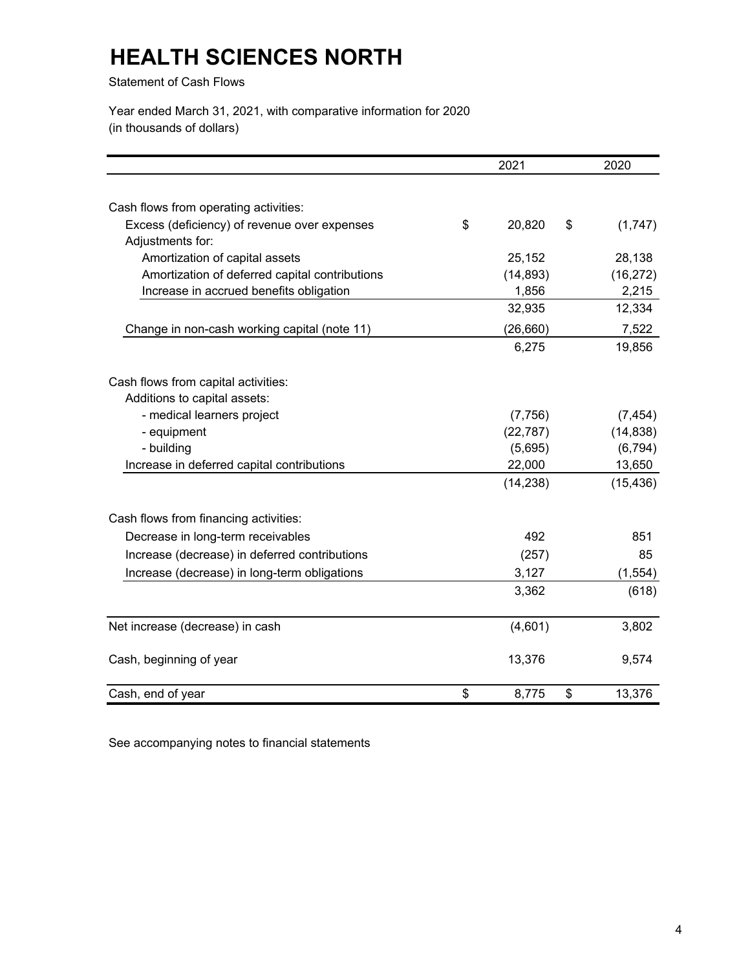Statement of Cash Flows

Year ended March 31, 2021, with comparative information for 2020 (in thousands of dollars)

|                                                | 2021               | 2020      |
|------------------------------------------------|--------------------|-----------|
|                                                |                    |           |
| Cash flows from operating activities:          |                    |           |
| Excess (deficiency) of revenue over expenses   | \$<br>\$<br>20,820 | (1,747)   |
| Adjustments for:                               |                    |           |
| Amortization of capital assets                 | 25,152             | 28,138    |
| Amortization of deferred capital contributions | (14, 893)          | (16, 272) |
| Increase in accrued benefits obligation        | 1,856              | 2,215     |
|                                                | 32,935             | 12,334    |
| Change in non-cash working capital (note 11)   | (26, 660)          | 7,522     |
|                                                | 6,275              | 19,856    |
| Cash flows from capital activities:            |                    |           |
| Additions to capital assets:                   |                    |           |
| - medical learners project                     | (7, 756)           | (7, 454)  |
| - equipment                                    | (22, 787)          | (14, 838) |
| - building                                     | (5,695)            | (6, 794)  |
| Increase in deferred capital contributions     | 22,000             | 13,650    |
|                                                | (14, 238)          | (15, 436) |
| Cash flows from financing activities:          |                    |           |
| Decrease in long-term receivables              | 492                | 851       |
| Increase (decrease) in deferred contributions  | (257)              | 85        |
| Increase (decrease) in long-term obligations   | 3,127              | (1, 554)  |
|                                                | 3,362              | (618)     |
| Net increase (decrease) in cash                | (4,601)            | 3,802     |
| Cash, beginning of year                        | 13,376             | 9,574     |
| Cash, end of year                              | \$<br>\$<br>8,775  | 13,376    |

See accompanying notes to financial statements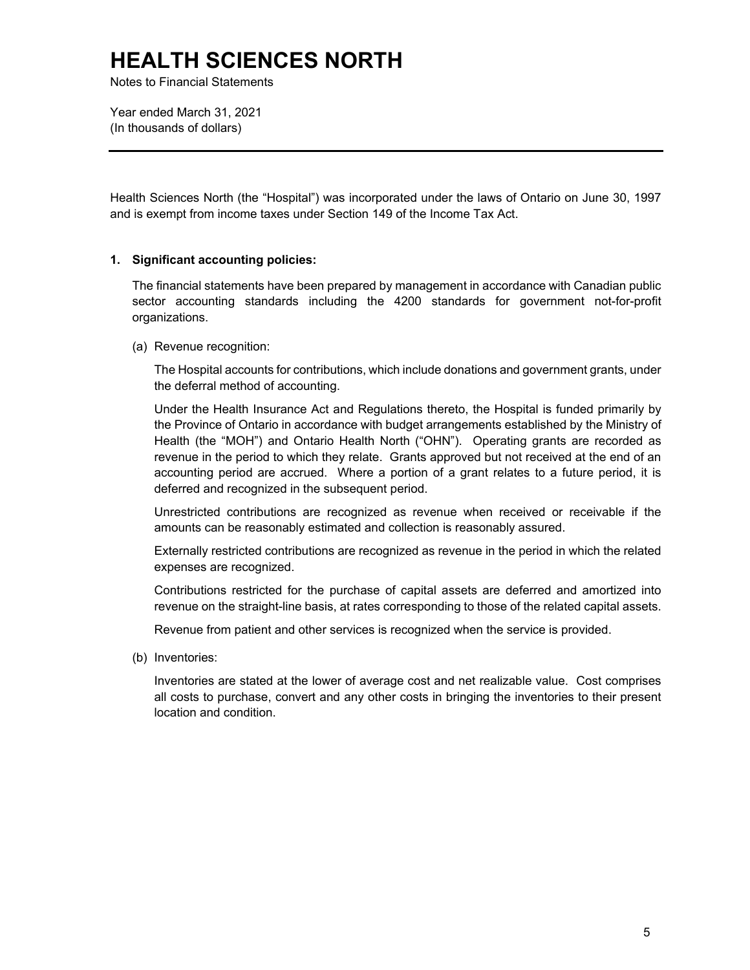Notes to Financial Statements

Year ended March 31, 2021 (In thousands of dollars)

Health Sciences North (the "Hospital") was incorporated under the laws of Ontario on June 30, 1997 and is exempt from income taxes under Section 149 of the Income Tax Act.

### **1. Significant accounting policies:**

The financial statements have been prepared by management in accordance with Canadian public sector accounting standards including the 4200 standards for government not-for-profit organizations.

(a) Revenue recognition:

The Hospital accounts for contributions, which include donations and government grants, under the deferral method of accounting.

Under the Health Insurance Act and Regulations thereto, the Hospital is funded primarily by the Province of Ontario in accordance with budget arrangements established by the Ministry of Health (the "MOH") and Ontario Health North ("OHN"). Operating grants are recorded as revenue in the period to which they relate. Grants approved but not received at the end of an accounting period are accrued. Where a portion of a grant relates to a future period, it is deferred and recognized in the subsequent period.

Unrestricted contributions are recognized as revenue when received or receivable if the amounts can be reasonably estimated and collection is reasonably assured.

Externally restricted contributions are recognized as revenue in the period in which the related expenses are recognized.

Contributions restricted for the purchase of capital assets are deferred and amortized into revenue on the straight-line basis, at rates corresponding to those of the related capital assets.

Revenue from patient and other services is recognized when the service is provided.

(b) Inventories:

Inventories are stated at the lower of average cost and net realizable value. Cost comprises all costs to purchase, convert and any other costs in bringing the inventories to their present location and condition.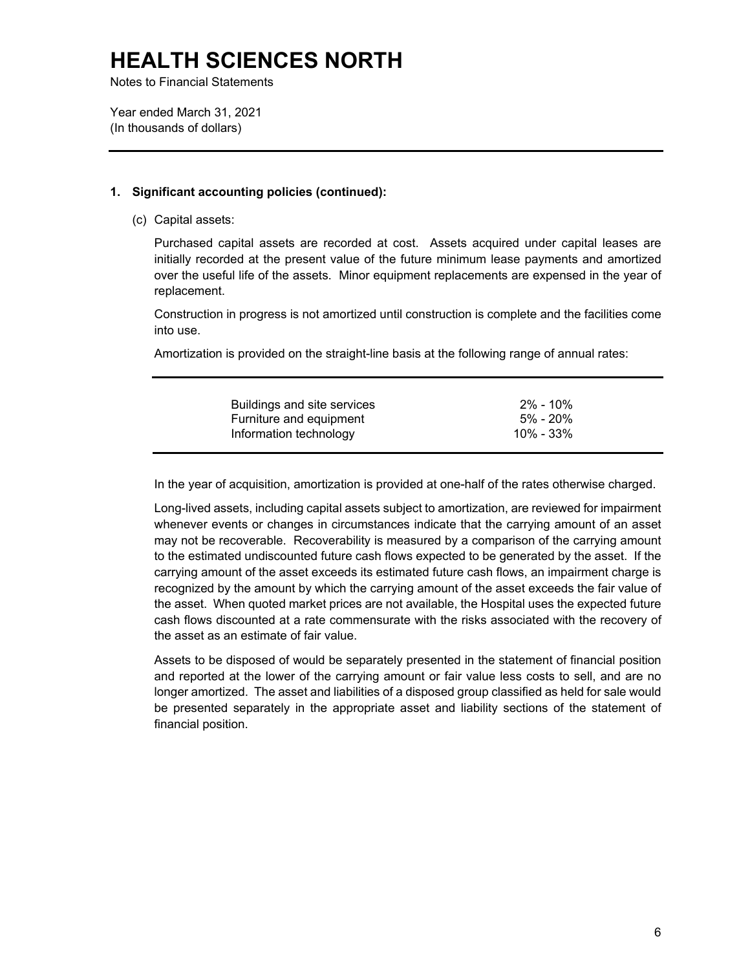Notes to Financial Statements

Year ended March 31, 2021 (In thousands of dollars)

### **1. Significant accounting policies (continued):**

(c) Capital assets:

Purchased capital assets are recorded at cost. Assets acquired under capital leases are initially recorded at the present value of the future minimum lease payments and amortized over the useful life of the assets. Minor equipment replacements are expensed in the year of replacement.

Construction in progress is not amortized until construction is complete and the facilities come into use.

Amortization is provided on the straight-line basis at the following range of annual rates:

| Buildings and site services | 2% - 10%  |  |
|-----------------------------|-----------|--|
| Furniture and equipment     | 5% - 20%  |  |
| Information technology      | 10% - 33% |  |
|                             |           |  |

In the year of acquisition, amortization is provided at one-half of the rates otherwise charged.

Long-lived assets, including capital assets subject to amortization, are reviewed for impairment whenever events or changes in circumstances indicate that the carrying amount of an asset may not be recoverable. Recoverability is measured by a comparison of the carrying amount to the estimated undiscounted future cash flows expected to be generated by the asset. If the carrying amount of the asset exceeds its estimated future cash flows, an impairment charge is recognized by the amount by which the carrying amount of the asset exceeds the fair value of the asset. When quoted market prices are not available, the Hospital uses the expected future cash flows discounted at a rate commensurate with the risks associated with the recovery of the asset as an estimate of fair value.

Assets to be disposed of would be separately presented in the statement of financial position and reported at the lower of the carrying amount or fair value less costs to sell, and are no longer amortized. The asset and liabilities of a disposed group classified as held for sale would be presented separately in the appropriate asset and liability sections of the statement of financial position.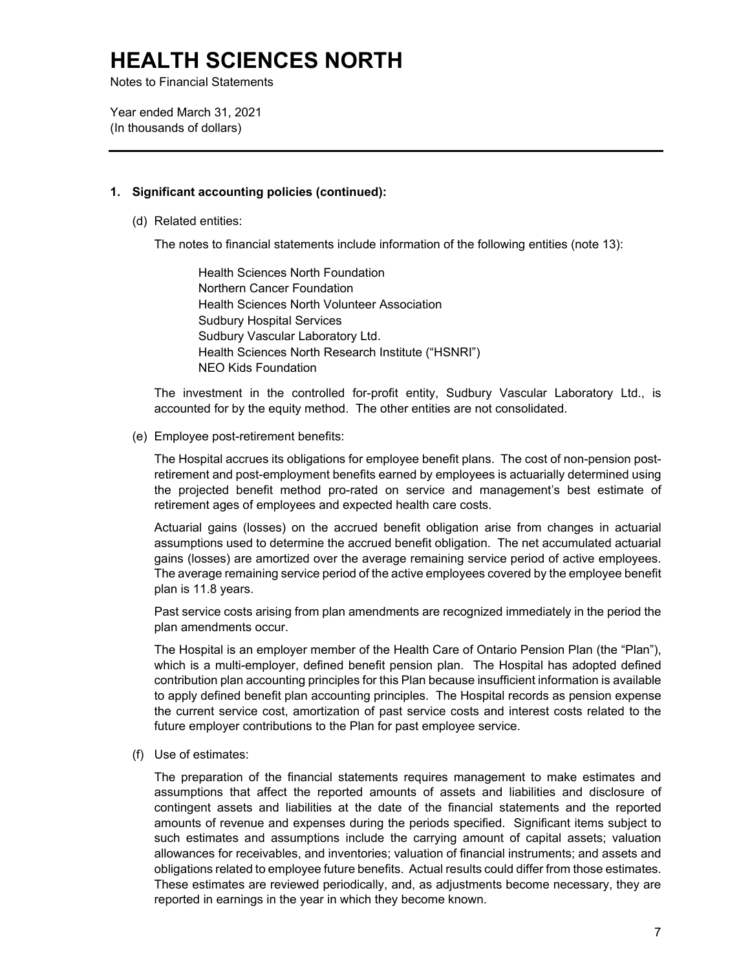Notes to Financial Statements

Year ended March 31, 2021 (In thousands of dollars)

### **1. Significant accounting policies (continued):**

(d) Related entities:

The notes to financial statements include information of the following entities (note 13):

Health Sciences North Foundation Northern Cancer Foundation Health Sciences North Volunteer Association Sudbury Hospital Services Sudbury Vascular Laboratory Ltd. Health Sciences North Research Institute ("HSNRI") NEO Kids Foundation

The investment in the controlled for-profit entity, Sudbury Vascular Laboratory Ltd., is accounted for by the equity method. The other entities are not consolidated.

### (e) Employee post-retirement benefits:

The Hospital accrues its obligations for employee benefit plans. The cost of non-pension postretirement and post-employment benefits earned by employees is actuarially determined using the projected benefit method pro-rated on service and management's best estimate of retirement ages of employees and expected health care costs.

Actuarial gains (losses) on the accrued benefit obligation arise from changes in actuarial assumptions used to determine the accrued benefit obligation. The net accumulated actuarial gains (losses) are amortized over the average remaining service period of active employees. The average remaining service period of the active employees covered by the employee benefit plan is 11.8 years.

Past service costs arising from plan amendments are recognized immediately in the period the plan amendments occur.

The Hospital is an employer member of the Health Care of Ontario Pension Plan (the "Plan"), which is a multi-employer, defined benefit pension plan. The Hospital has adopted defined contribution plan accounting principles for this Plan because insufficient information is available to apply defined benefit plan accounting principles. The Hospital records as pension expense the current service cost, amortization of past service costs and interest costs related to the future employer contributions to the Plan for past employee service.

(f) Use of estimates:

The preparation of the financial statements requires management to make estimates and assumptions that affect the reported amounts of assets and liabilities and disclosure of contingent assets and liabilities at the date of the financial statements and the reported amounts of revenue and expenses during the periods specified. Significant items subject to such estimates and assumptions include the carrying amount of capital assets; valuation allowances for receivables, and inventories; valuation of financial instruments; and assets and obligations related to employee future benefits. Actual results could differ from those estimates. These estimates are reviewed periodically, and, as adjustments become necessary, they are reported in earnings in the year in which they become known.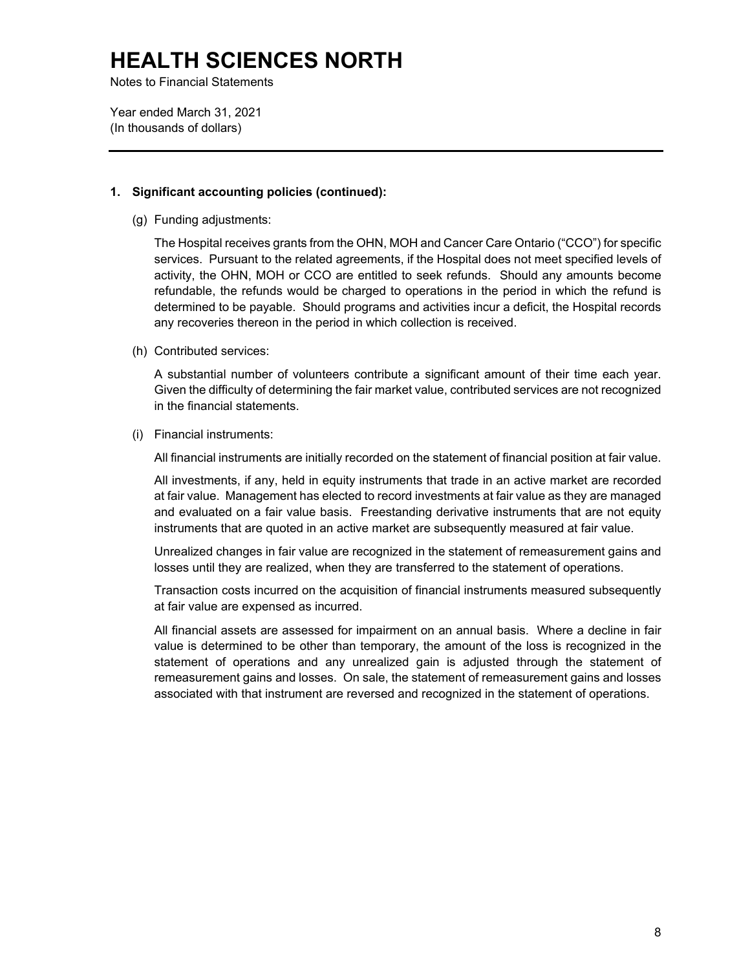Notes to Financial Statements

Year ended March 31, 2021 (In thousands of dollars)

### **1. Significant accounting policies (continued):**

(g) Funding adjustments:

The Hospital receives grants from the OHN, MOH and Cancer Care Ontario ("CCO") for specific services. Pursuant to the related agreements, if the Hospital does not meet specified levels of activity, the OHN, MOH or CCO are entitled to seek refunds. Should any amounts become refundable, the refunds would be charged to operations in the period in which the refund is determined to be payable. Should programs and activities incur a deficit, the Hospital records any recoveries thereon in the period in which collection is received.

(h) Contributed services:

A substantial number of volunteers contribute a significant amount of their time each year. Given the difficulty of determining the fair market value, contributed services are not recognized in the financial statements.

(i) Financial instruments:

All financial instruments are initially recorded on the statement of financial position at fair value.

All investments, if any, held in equity instruments that trade in an active market are recorded at fair value. Management has elected to record investments at fair value as they are managed and evaluated on a fair value basis. Freestanding derivative instruments that are not equity instruments that are quoted in an active market are subsequently measured at fair value.

Unrealized changes in fair value are recognized in the statement of remeasurement gains and losses until they are realized, when they are transferred to the statement of operations.

Transaction costs incurred on the acquisition of financial instruments measured subsequently at fair value are expensed as incurred.

All financial assets are assessed for impairment on an annual basis. Where a decline in fair value is determined to be other than temporary, the amount of the loss is recognized in the statement of operations and any unrealized gain is adjusted through the statement of remeasurement gains and losses. On sale, the statement of remeasurement gains and losses associated with that instrument are reversed and recognized in the statement of operations.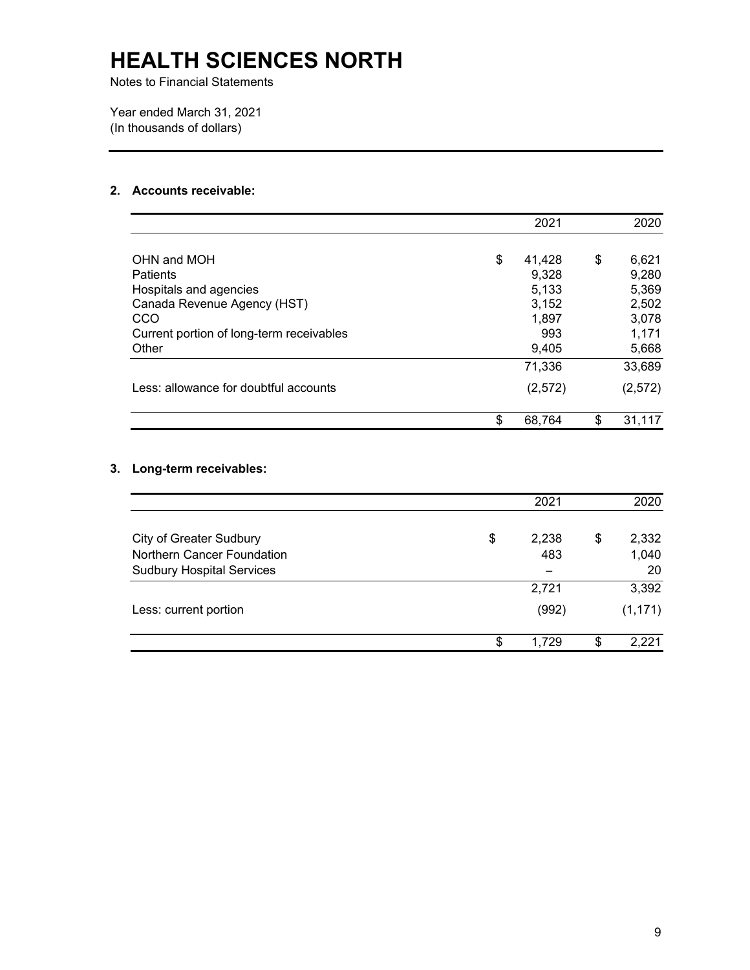Notes to Financial Statements

Year ended March 31, 2021 (In thousands of dollars)

### **2. Accounts receivable:**

|                                          | 2021         | 2020         |
|------------------------------------------|--------------|--------------|
|                                          |              |              |
| OHN and MOH                              | \$<br>41,428 | \$<br>6,621  |
| Patients                                 | 9,328        | 9,280        |
| Hospitals and agencies                   | 5,133        | 5,369        |
| Canada Revenue Agency (HST)              | 3,152        | 2,502        |
| CCO                                      | 1,897        | 3,078        |
| Current portion of long-term receivables | 993          | 1,171        |
| Other                                    | 9,405        | 5,668        |
|                                          | 71,336       | 33,689       |
| Less: allowance for doubtful accounts    | (2,572)      | (2, 572)     |
|                                          | \$<br>68,764 | \$<br>31,117 |

### **3. Long-term receivables:**

|                                   | 2021        | 2020        |
|-----------------------------------|-------------|-------------|
|                                   |             |             |
| <b>City of Greater Sudbury</b>    | \$<br>2,238 | \$<br>2,332 |
| <b>Northern Cancer Foundation</b> | 483         | 1,040       |
| <b>Sudbury Hospital Services</b>  |             | 20          |
|                                   | 2,721       | 3,392       |
| Less: current portion             | (992)       | (1, 171)    |
|                                   | \$<br>1.729 | \$<br>2,221 |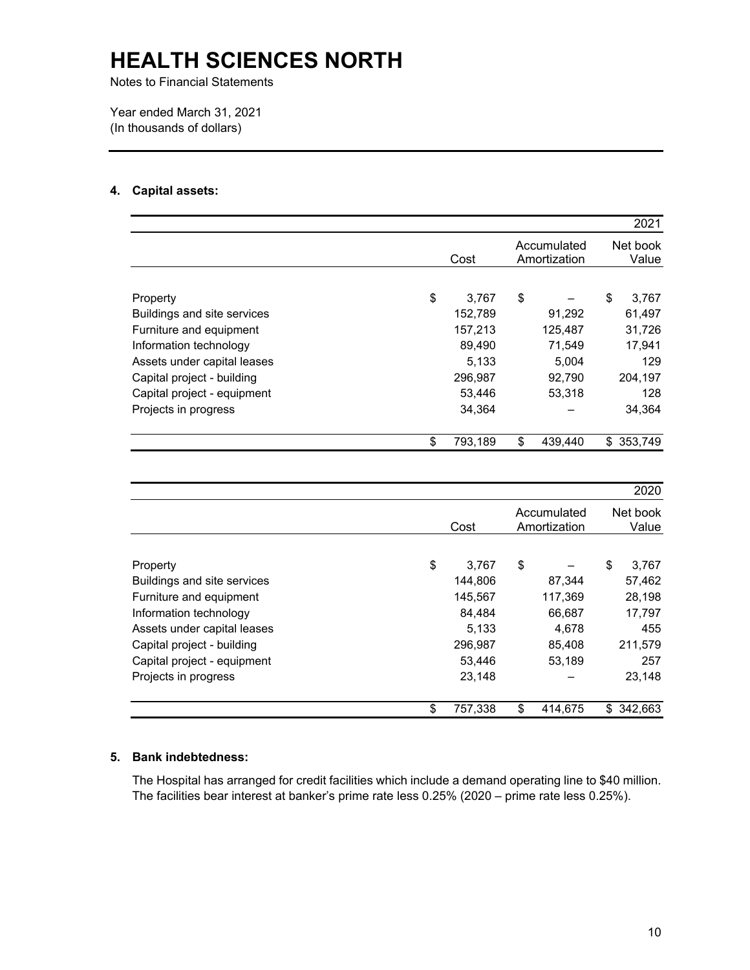Notes to Financial Statements

Year ended March 31, 2021 (In thousands of dollars)

### **4. Capital assets:**

|                             |               |    |                             |    | 2021              |
|-----------------------------|---------------|----|-----------------------------|----|-------------------|
|                             | Cost          |    | Accumulated<br>Amortization |    | Net book<br>Value |
| Property                    | \$<br>3.767   | \$ |                             | \$ | 3,767             |
| Buildings and site services | 152,789       |    | 91,292                      |    | 61,497            |
| Furniture and equipment     | 157,213       |    | 125,487                     |    | 31,726            |
| Information technology      | 89,490        |    | 71,549                      |    | 17,941            |
| Assets under capital leases | 5.133         |    | 5.004                       |    | 129               |
| Capital project - building  | 296,987       |    | 92,790                      |    | 204,197           |
| Capital project - equipment | 53,446        |    | 53,318                      |    | 128               |
| Projects in progress        | 34.364        |    |                             |    | 34,364            |
|                             | \$<br>793,189 | \$ | 439,440                     | S. | 353,749           |

|                             |               |                             |         |     | 2020    |  |                   |
|-----------------------------|---------------|-----------------------------|---------|-----|---------|--|-------------------|
|                             | Cost          | Accumulated<br>Amortization |         |     |         |  | Net book<br>Value |
|                             |               |                             |         |     |         |  |                   |
| Property                    | \$<br>3.767   | \$                          |         | \$  | 3,767   |  |                   |
| Buildings and site services | 144,806       |                             | 87.344  |     | 57,462  |  |                   |
| Furniture and equipment     | 145,567       |                             | 117,369 |     | 28,198  |  |                   |
| Information technology      | 84,484        |                             | 66,687  |     | 17,797  |  |                   |
| Assets under capital leases | 5.133         |                             | 4,678   |     | 455     |  |                   |
| Capital project - building  | 296,987       |                             | 85.408  |     | 211,579 |  |                   |
| Capital project - equipment | 53.446        |                             | 53.189  |     | 257     |  |                   |
| Projects in progress        | 23,148        |                             |         |     | 23,148  |  |                   |
|                             | \$<br>757.338 | \$                          | 414.675 | \$. | 342.663 |  |                   |

### **5. Bank indebtedness:**

The Hospital has arranged for credit facilities which include a demand operating line to \$40 million. The facilities bear interest at banker's prime rate less 0.25% (2020 – prime rate less 0.25%).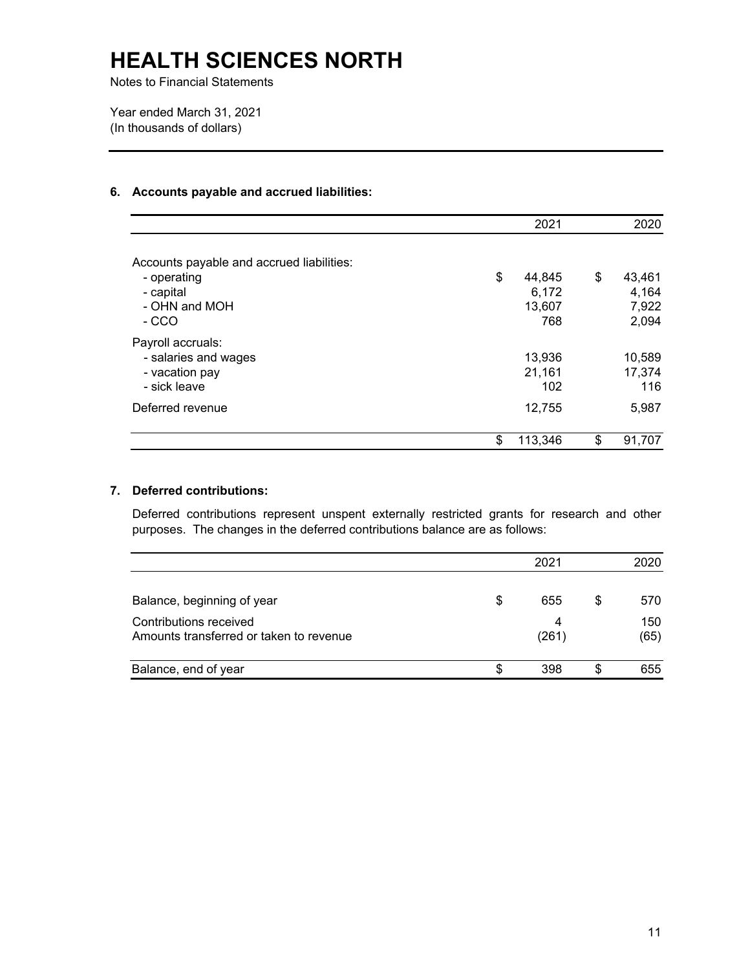Notes to Financial Statements

Year ended March 31, 2021 (In thousands of dollars)

### **6. Accounts payable and accrued liabilities:**

|                                           | 2021          | 2020         |
|-------------------------------------------|---------------|--------------|
| Accounts payable and accrued liabilities: |               |              |
| - operating                               | \$<br>44,845  | \$<br>43,461 |
| - capital                                 | 6,172         | 4,164        |
| - OHN and MOH                             | 13,607        | 7,922        |
| - CCO                                     | 768           | 2,094        |
| Payroll accruals:                         |               |              |
| - salaries and wages                      | 13,936        | 10,589       |
| - vacation pay                            | 21,161        | 17,374       |
| - sick leave                              | 102           | 116          |
| Deferred revenue                          | 12,755        | 5,987        |
|                                           | \$<br>113,346 | \$<br>91,707 |

### **7. Deferred contributions:**

Deferred contributions represent unspent externally restricted grants for research and other purposes. The changes in the deferred contributions balance are as follows:

|                                                                   | 2021       |   | 2020        |
|-------------------------------------------------------------------|------------|---|-------------|
| Balance, beginning of year                                        | \$<br>655  | S | 570         |
| Contributions received<br>Amounts transferred or taken to revenue | 4<br>(261) |   | 150<br>(65) |
| Balance, end of year                                              | 398        |   | 655         |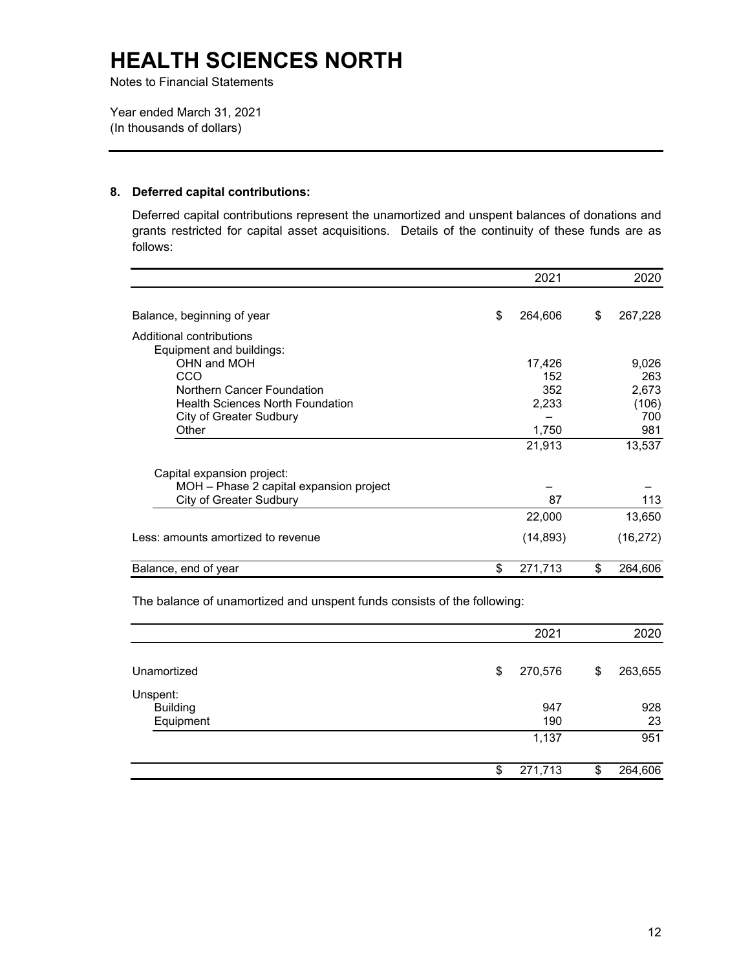Notes to Financial Statements

Year ended March 31, 2021 (In thousands of dollars)

### **8. Deferred capital contributions:**

Deferred capital contributions represent the unamortized and unspent balances of donations and grants restricted for capital asset acquisitions. Details of the continuity of these funds are as follows:

|                                                      | 2021          | 2020          |
|------------------------------------------------------|---------------|---------------|
|                                                      |               |               |
| Balance, beginning of year                           | \$<br>264,606 | \$<br>267,228 |
| Additional contributions<br>Equipment and buildings: |               |               |
| OHN and MOH                                          | 17,426        | 9,026         |
| CCO                                                  | 152           | 263           |
| Northern Cancer Foundation                           | 352           | 2,673         |
| <b>Health Sciences North Foundation</b>              | 2,233         | (106)         |
| City of Greater Sudbury                              |               | 700           |
| Other                                                | 1,750         | 981           |
|                                                      | 21,913        | 13,537        |
| Capital expansion project:                           |               |               |
| MOH - Phase 2 capital expansion project              |               |               |
| City of Greater Sudbury                              | 87            | 113           |
|                                                      | 22,000        | 13,650        |
| Less: amounts amortized to revenue                   | (14, 893)     | (16, 272)     |
| Balance, end of year                                 | \$<br>271,713 | \$<br>264,606 |

The balance of unamortized and unspent funds consists of the following:

|                 | 2021          | 2020          |
|-----------------|---------------|---------------|
|                 |               |               |
| Unamortized     | 270,576<br>\$ | \$<br>263,655 |
| Unspent:        |               |               |
| <b>Building</b> | 947           | 928           |
| Equipment       | 190           | 23            |
|                 | 1,137         | 951           |
|                 | 271,713<br>\$ | \$<br>264,606 |
|                 |               |               |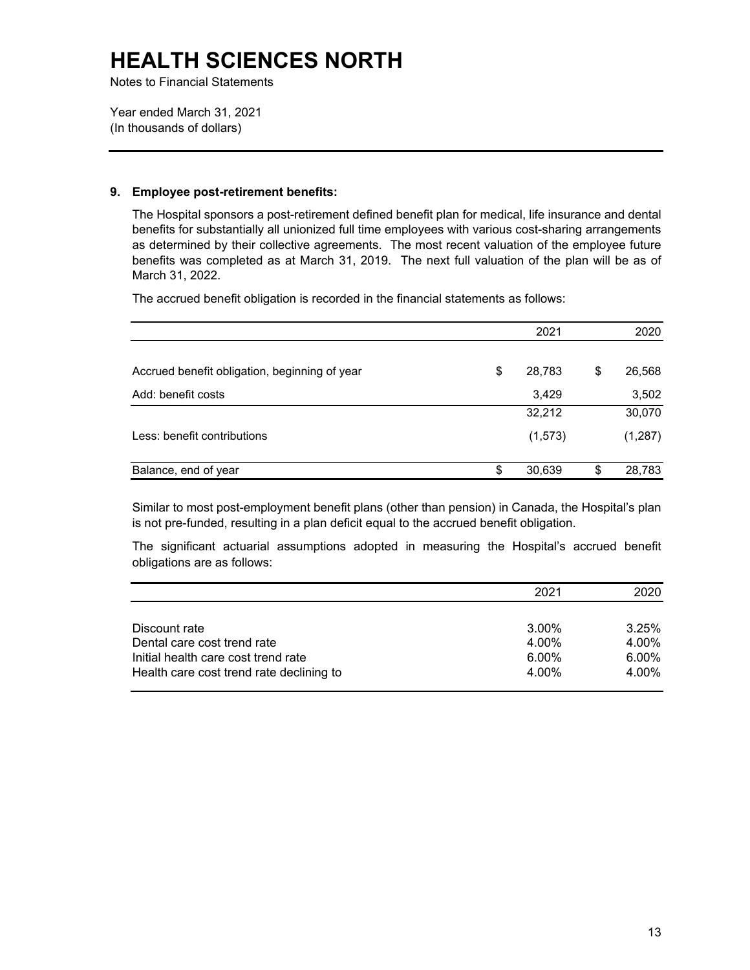Notes to Financial Statements

Year ended March 31, 2021 (In thousands of dollars)

### **9. Employee post-retirement benefits:**

The Hospital sponsors a post-retirement defined benefit plan for medical, life insurance and dental benefits for substantially all unionized full time employees with various cost-sharing arrangements as determined by their collective agreements. The most recent valuation of the employee future benefits was completed as at March 31, 2019. The next full valuation of the plan will be as of March 31, 2022.

The accrued benefit obligation is recorded in the financial statements as follows:

|                                               |     | 2021     |    | 2020    |
|-----------------------------------------------|-----|----------|----|---------|
|                                               |     |          |    |         |
| Accrued benefit obligation, beginning of year | \$  | 28,783   | \$ | 26,568  |
| Add: benefit costs                            |     | 3,429    |    | 3,502   |
|                                               |     | 32,212   |    | 30,070  |
| Less: benefit contributions                   |     | (1, 573) |    | (1,287) |
|                                               |     |          |    |         |
| Balance, end of year                          | \$. | 30,639   | S. | 28,783  |

Similar to most post-employment benefit plans (other than pension) in Canada, the Hospital's plan is not pre-funded, resulting in a plan deficit equal to the accrued benefit obligation.

The significant actuarial assumptions adopted in measuring the Hospital's accrued benefit obligations are as follows:

|                                          | 2021  | 2020  |
|------------------------------------------|-------|-------|
|                                          |       |       |
| Discount rate                            | 3.00% | 3.25% |
| Dental care cost trend rate              | 4.00% | 4.00% |
| Initial health care cost trend rate      | 6.00% | 6.00% |
| Health care cost trend rate declining to | 4.00% | 4.00% |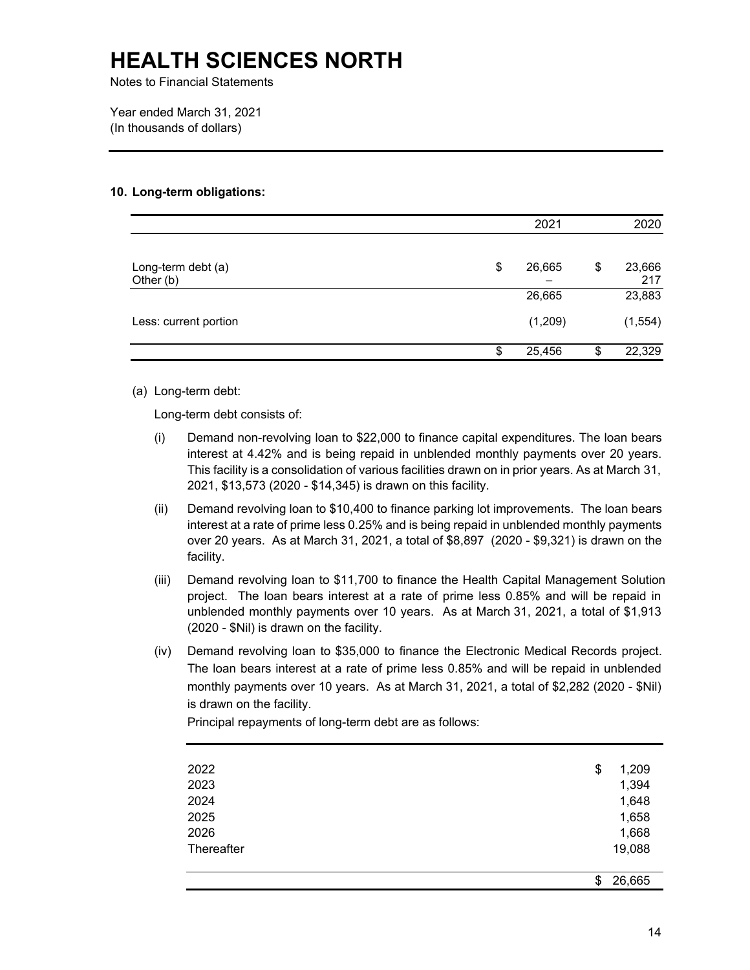Notes to Financial Statements

Year ended March 31, 2021 (In thousands of dollars)

#### **10. Long-term obligations:**

|                                 | 2021         | 2020                |
|---------------------------------|--------------|---------------------|
| Long-term debt (a)<br>Other (b) | \$<br>26,665 | \$<br>23,666<br>217 |
|                                 | 26,665       | 23,883              |
| Less: current portion           | (1,209)      | (1, 554)            |
|                                 | \$<br>25,456 | \$<br>22,329        |

(a) Long-term debt:

Long-term debt consists of:

- (i) Demand non-revolving loan to \$22,000 to finance capital expenditures. The loan bears interest at 4.42% and is being repaid in unblended monthly payments over 20 years. This facility is a consolidation of various facilities drawn on in prior years. As at March 31, 2021, \$13,573 (2020 - \$14,345) is drawn on this facility.
- (ii) Demand revolving loan to \$10,400 to finance parking lot improvements. The loan bears interest at a rate of prime less 0.25% and is being repaid in unblended monthly payments over 20 years. As at March 31, 2021, a total of \$8,897 (2020 - \$9,321) is drawn on the facility.
- (iii) Demand revolving loan to \$11,700 to finance the Health Capital Management Solution project. The loan bears interest at a rate of prime less 0.85% and will be repaid in unblended monthly payments over 10 years. As at March 31, 2021, a total of \$1,913 (2020 - \$Nil) is drawn on the facility.
- (iv) Demand revolving loan to \$35,000 to finance the Electronic Medical Records project. The loan bears interest at a rate of prime less 0.85% and will be repaid in unblended monthly payments over 10 years. As at March 31, 2021, a total of \$2,282 (2020 - \$Nil) is drawn on the facility.

Principal repayments of long-term debt are as follows:

| 2022       | \$<br>1,209  |
|------------|--------------|
| 2023       | 1,394        |
| 2024       | 1,648        |
| 2025       | 1,658        |
| 2026       | 1,668        |
| Thereafter | 19,088       |
|            |              |
|            | \$<br>26,665 |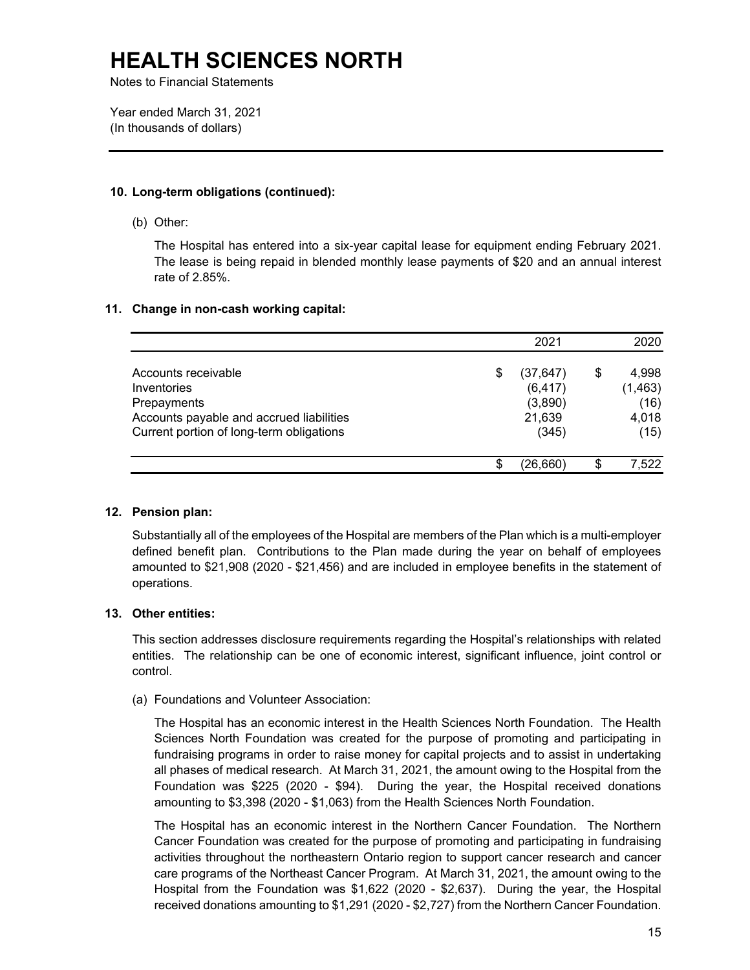Notes to Financial Statements

Year ended March 31, 2021 (In thousands of dollars)

### **10. Long-term obligations (continued):**

(b) Other:

The Hospital has entered into a six-year capital lease for equipment ending February 2021. The lease is being repaid in blended monthly lease payments of \$20 and an annual interest rate of 2.85%.

### **11. Change in non-cash working capital:**

|                                          | 2021            |    | 2020     |
|------------------------------------------|-----------------|----|----------|
| Accounts receivable                      | \$<br>(37, 647) | \$ | 4,998    |
| Inventories                              | (6, 417)        |    | (1, 463) |
| Prepayments                              | (3,890)         |    | (16)     |
| Accounts payable and accrued liabilities | 21,639          |    | 4,018    |
| Current portion of long-term obligations | (345)           |    | (15)     |
|                                          | \$<br>(26, 660) | S  | 7.522    |

### **12. Pension plan:**

Substantially all of the employees of the Hospital are members of the Plan which is a multi-employer defined benefit plan. Contributions to the Plan made during the year on behalf of employees amounted to \$21,908 (2020 - \$21,456) and are included in employee benefits in the statement of operations.

### **13. Other entities:**

This section addresses disclosure requirements regarding the Hospital's relationships with related entities. The relationship can be one of economic interest, significant influence, joint control or control.

#### (a) Foundations and Volunteer Association:

The Hospital has an economic interest in the Health Sciences North Foundation. The Health Sciences North Foundation was created for the purpose of promoting and participating in fundraising programs in order to raise money for capital projects and to assist in undertaking all phases of medical research. At March 31, 2021, the amount owing to the Hospital from the Foundation was \$225 (2020 - \$94). During the year, the Hospital received donations amounting to \$3,398 (2020 - \$1,063) from the Health Sciences North Foundation.

The Hospital has an economic interest in the Northern Cancer Foundation. The Northern Cancer Foundation was created for the purpose of promoting and participating in fundraising activities throughout the northeastern Ontario region to support cancer research and cancer care programs of the Northeast Cancer Program. At March 31, 2021, the amount owing to the Hospital from the Foundation was \$1,622 (2020 - \$2,637). During the year, the Hospital received donations amounting to \$1,291 (2020 - \$2,727) from the Northern Cancer Foundation.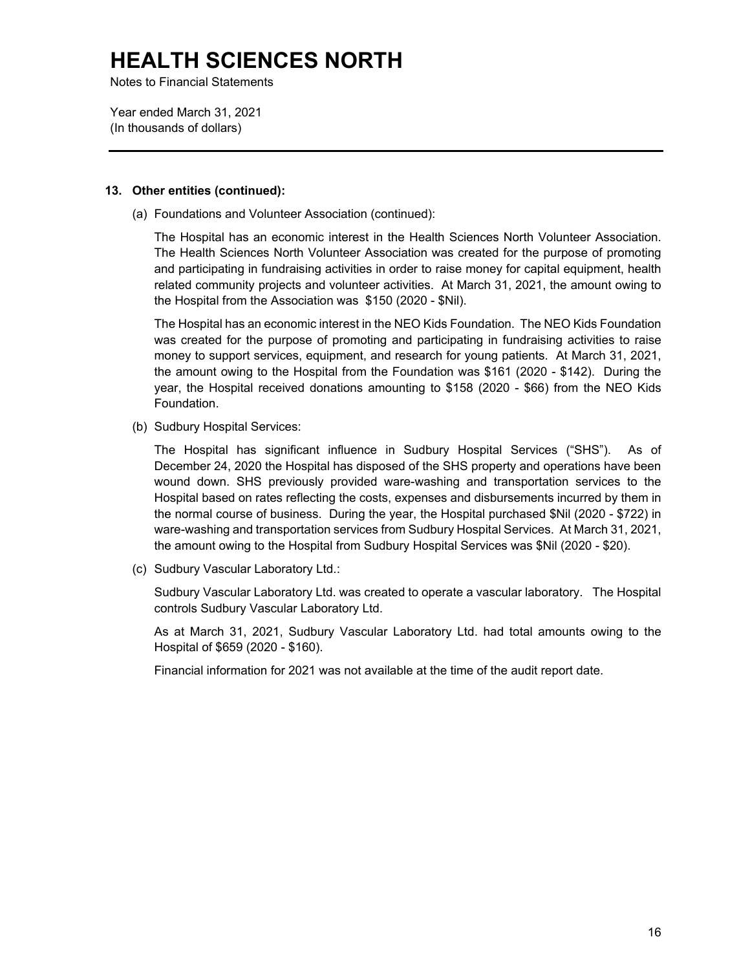Notes to Financial Statements

Year ended March 31, 2021 (In thousands of dollars)

#### **13. Other entities (continued):**

(a) Foundations and Volunteer Association (continued):

The Hospital has an economic interest in the Health Sciences North Volunteer Association. The Health Sciences North Volunteer Association was created for the purpose of promoting and participating in fundraising activities in order to raise money for capital equipment, health related community projects and volunteer activities. At March 31, 2021, the amount owing to the Hospital from the Association was \$150 (2020 - \$Nil).

The Hospital has an economic interest in the NEO Kids Foundation. The NEO Kids Foundation was created for the purpose of promoting and participating in fundraising activities to raise money to support services, equipment, and research for young patients. At March 31, 2021, the amount owing to the Hospital from the Foundation was \$161 (2020 - \$142). During the year, the Hospital received donations amounting to \$158 (2020 - \$66) from the NEO Kids Foundation.

(b) Sudbury Hospital Services:

The Hospital has significant influence in Sudbury Hospital Services ("SHS"). As of December 24, 2020 the Hospital has disposed of the SHS property and operations have been wound down. SHS previously provided ware-washing and transportation services to the Hospital based on rates reflecting the costs, expenses and disbursements incurred by them in the normal course of business. During the year, the Hospital purchased \$Nil (2020 - \$722) in ware-washing and transportation services from Sudbury Hospital Services. At March 31, 2021, the amount owing to the Hospital from Sudbury Hospital Services was \$Nil (2020 - \$20).

(c) Sudbury Vascular Laboratory Ltd.:

Sudbury Vascular Laboratory Ltd. was created to operate a vascular laboratory. The Hospital controls Sudbury Vascular Laboratory Ltd.

As at March 31, 2021, Sudbury Vascular Laboratory Ltd. had total amounts owing to the Hospital of \$659 (2020 - \$160).

Financial information for 2021 was not available at the time of the audit report date.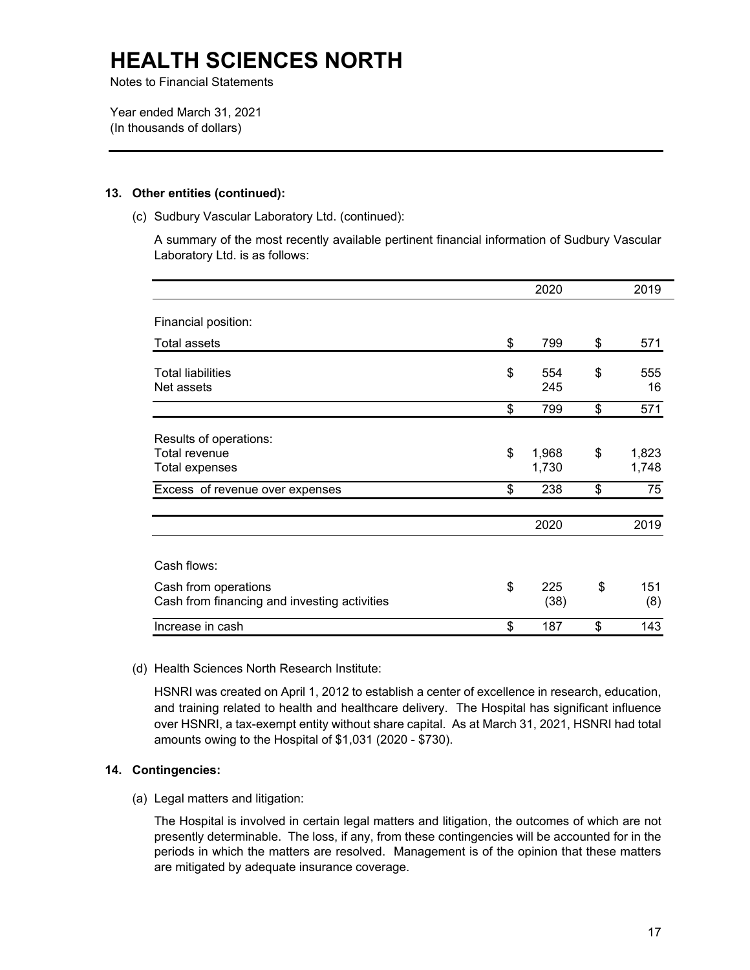Notes to Financial Statements

Year ended March 31, 2021 (In thousands of dollars)

### **13. Other entities (continued):**

(c) Sudbury Vascular Laboratory Ltd. (continued):

A summary of the most recently available pertinent financial information of Sudbury Vascular Laboratory Ltd. is as follows:

|                                                                      | 2020                 | 2019                 |
|----------------------------------------------------------------------|----------------------|----------------------|
| Financial position:                                                  |                      |                      |
| <b>Total assets</b>                                                  | \$<br>799            | \$<br>571            |
| <b>Total liabilities</b><br>Net assets                               | \$<br>554<br>245     | \$<br>555<br>16      |
|                                                                      | \$<br>799            | \$<br>571            |
| Results of operations:<br><b>Total revenue</b><br>Total expenses     | \$<br>1,968<br>1,730 | \$<br>1,823<br>1,748 |
| Excess of revenue over expenses                                      | \$<br>238            | \$<br>75             |
|                                                                      | 2020                 | 2019                 |
| Cash flows:                                                          |                      |                      |
| Cash from operations<br>Cash from financing and investing activities | \$<br>225<br>(38)    | \$<br>151<br>(8)     |
| Increase in cash                                                     | \$<br>187            | \$<br>143            |

(d) Health Sciences North Research Institute:

HSNRI was created on April 1, 2012 to establish a center of excellence in research, education, and training related to health and healthcare delivery. The Hospital has significant influence over HSNRI, a tax-exempt entity without share capital. As at March 31, 2021, HSNRI had total amounts owing to the Hospital of \$1,031 (2020 - \$730).

#### **14. Contingencies:**

(a) Legal matters and litigation:

The Hospital is involved in certain legal matters and litigation, the outcomes of which are not presently determinable. The loss, if any, from these contingencies will be accounted for in the periods in which the matters are resolved. Management is of the opinion that these matters are mitigated by adequate insurance coverage.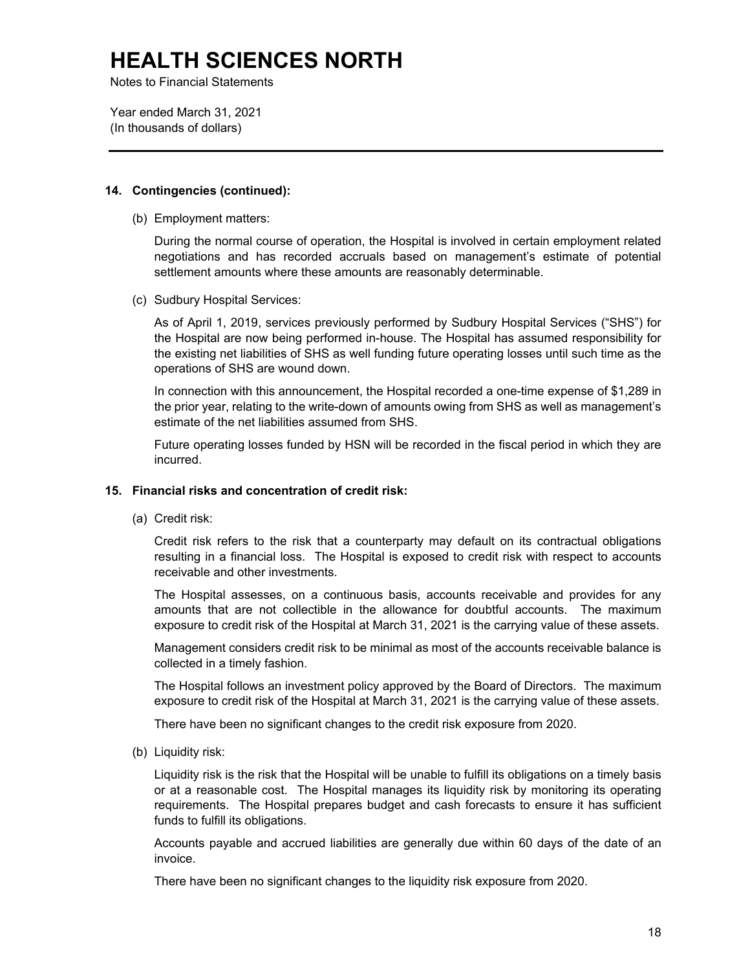Notes to Financial Statements

Year ended March 31, 2021 (In thousands of dollars)

#### **14. Contingencies (continued):**

(b) Employment matters:

During the normal course of operation, the Hospital is involved in certain employment related negotiations and has recorded accruals based on management's estimate of potential settlement amounts where these amounts are reasonably determinable.

(c) Sudbury Hospital Services:

As of April 1, 2019, services previously performed by Sudbury Hospital Services ("SHS") for the Hospital are now being performed in-house. The Hospital has assumed responsibility for the existing net liabilities of SHS as well funding future operating losses until such time as the operations of SHS are wound down.

In connection with this announcement, the Hospital recorded a one-time expense of \$1,289 in the prior year, relating to the write-down of amounts owing from SHS as well as management's estimate of the net liabilities assumed from SHS.

Future operating losses funded by HSN will be recorded in the fiscal period in which they are incurred.

### **15. Financial risks and concentration of credit risk:**

(a) Credit risk:

Credit risk refers to the risk that a counterparty may default on its contractual obligations resulting in a financial loss. The Hospital is exposed to credit risk with respect to accounts receivable and other investments.

The Hospital assesses, on a continuous basis, accounts receivable and provides for any amounts that are not collectible in the allowance for doubtful accounts. The maximum exposure to credit risk of the Hospital at March 31, 2021 is the carrying value of these assets.

Management considers credit risk to be minimal as most of the accounts receivable balance is collected in a timely fashion.

The Hospital follows an investment policy approved by the Board of Directors. The maximum exposure to credit risk of the Hospital at March 31, 2021 is the carrying value of these assets.

There have been no significant changes to the credit risk exposure from 2020.

(b) Liquidity risk:

Liquidity risk is the risk that the Hospital will be unable to fulfill its obligations on a timely basis or at a reasonable cost. The Hospital manages its liquidity risk by monitoring its operating requirements. The Hospital prepares budget and cash forecasts to ensure it has sufficient funds to fulfill its obligations.

Accounts payable and accrued liabilities are generally due within 60 days of the date of an invoice.

There have been no significant changes to the liquidity risk exposure from 2020.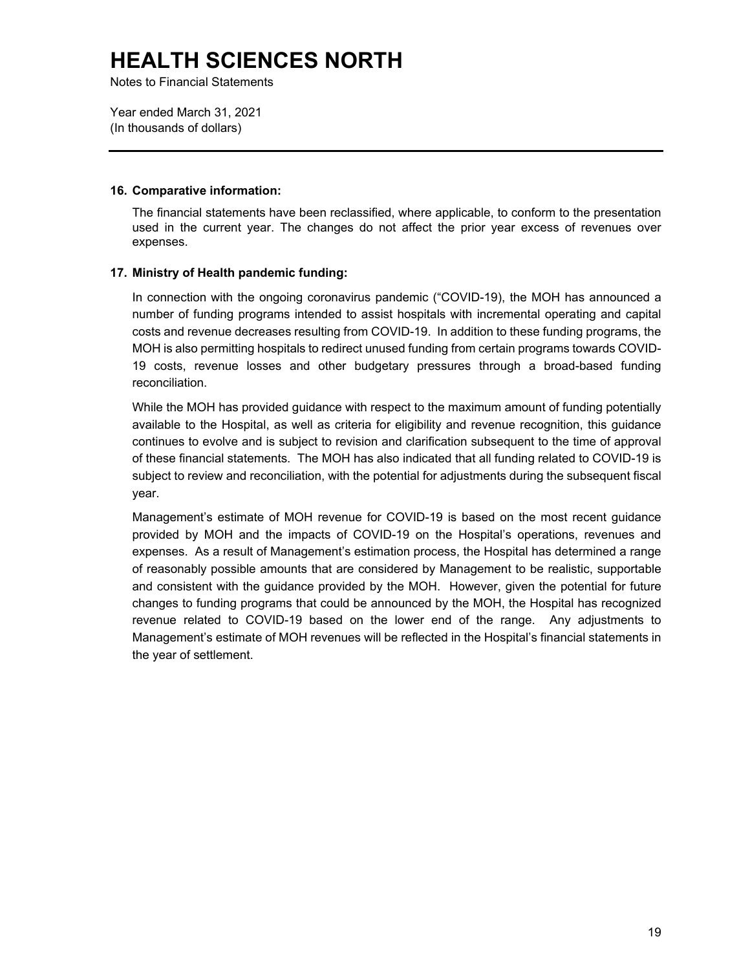Notes to Financial Statements

Year ended March 31, 2021 (In thousands of dollars)

#### **16. Comparative information:**

The financial statements have been reclassified, where applicable, to conform to the presentation used in the current year. The changes do not affect the prior year excess of revenues over expenses.

### **17. Ministry of Health pandemic funding:**

In connection with the ongoing coronavirus pandemic ("COVID-19), the MOH has announced a number of funding programs intended to assist hospitals with incremental operating and capital costs and revenue decreases resulting from COVID-19. In addition to these funding programs, the MOH is also permitting hospitals to redirect unused funding from certain programs towards COVID-19 costs, revenue losses and other budgetary pressures through a broad-based funding reconciliation.

While the MOH has provided guidance with respect to the maximum amount of funding potentially available to the Hospital, as well as criteria for eligibility and revenue recognition, this guidance continues to evolve and is subject to revision and clarification subsequent to the time of approval of these financial statements. The MOH has also indicated that all funding related to COVID-19 is subject to review and reconciliation, with the potential for adjustments during the subsequent fiscal year.

Management's estimate of MOH revenue for COVID-19 is based on the most recent guidance provided by MOH and the impacts of COVID-19 on the Hospital's operations, revenues and expenses. As a result of Management's estimation process, the Hospital has determined a range of reasonably possible amounts that are considered by Management to be realistic, supportable and consistent with the guidance provided by the MOH. However, given the potential for future changes to funding programs that could be announced by the MOH, the Hospital has recognized revenue related to COVID-19 based on the lower end of the range. Any adjustments to Management's estimate of MOH revenues will be reflected in the Hospital's financial statements in the year of settlement.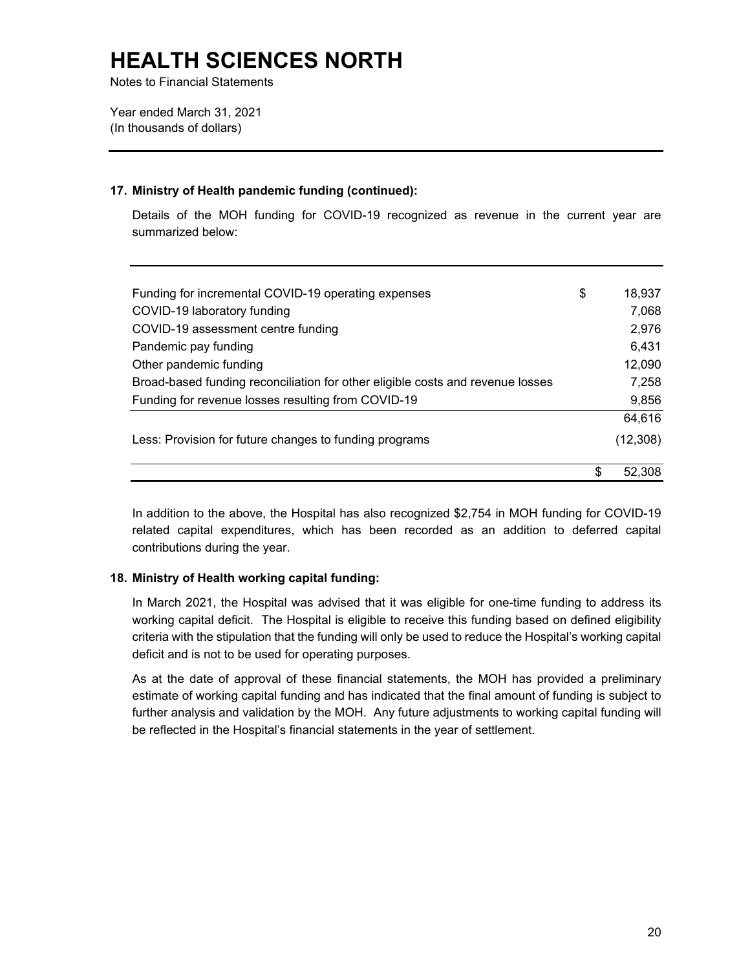Notes to Financial Statements

Year ended March 31, 2021 (In thousands of dollars)

#### **17. Ministry of Health pandemic funding (continued):**

Details of the MOH funding for COVID-19 recognized as revenue in the current year are summarized below:

| Funding for incremental COVID-19 operating expenses                            | \$<br>18,937 |
|--------------------------------------------------------------------------------|--------------|
| COVID-19 laboratory funding                                                    | 7,068        |
| COVID-19 assessment centre funding                                             | 2,976        |
| Pandemic pay funding                                                           | 6,431        |
| Other pandemic funding                                                         | 12,090       |
| Broad-based funding reconciliation for other eligible costs and revenue losses | 7,258        |
| Funding for revenue losses resulting from COVID-19                             | 9,856        |
|                                                                                | 64,616       |
| Less: Provision for future changes to funding programs                         | (12,308)     |
|                                                                                | \$<br>52.308 |

In addition to the above, the Hospital has also recognized \$2,754 in MOH funding for COVID-19 related capital expenditures, which has been recorded as an addition to deferred capital contributions during the year.

### **18. Ministry of Health working capital funding:**

In March 2021, the Hospital was advised that it was eligible for one-time funding to address its working capital deficit. The Hospital is eligible to receive this funding based on defined eligibility criteria with the stipulation that the funding will only be used to reduce the Hospital's working capital deficit and is not to be used for operating purposes.

As at the date of approval of these financial statements, the MOH has provided a preliminary estimate of working capital funding and has indicated that the final amount of funding is subject to further analysis and validation by the MOH. Any future adjustments to working capital funding will be reflected in the Hospital's financial statements in the year of settlement.